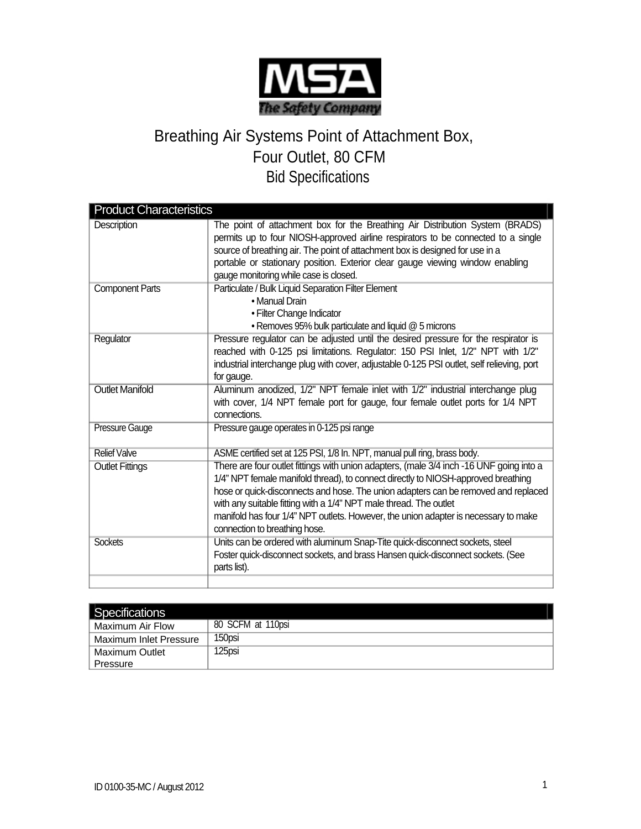

## Breathing Air Systems Point of Attachment Box, Four Outlet, 80 CFM Bid Specifications

| <b>Product Characteristics</b> |                                                                                                                                                                                                                                                                                                                                                                                                                                                                 |  |
|--------------------------------|-----------------------------------------------------------------------------------------------------------------------------------------------------------------------------------------------------------------------------------------------------------------------------------------------------------------------------------------------------------------------------------------------------------------------------------------------------------------|--|
| Description                    | The point of attachment box for the Breathing Air Distribution System (BRADS)<br>permits up to four NIOSH-approved airline respirators to be connected to a single<br>source of breathing air. The point of attachment box is designed for use in a<br>portable or stationary position. Exterior clear gauge viewing window enabling<br>gauge monitoring while case is closed.                                                                                  |  |
| <b>Component Parts</b>         | Particulate / Bulk Liquid Separation Filter Element<br>• Manual Drain<br>• Filter Change Indicator<br>• Removes 95% bulk particulate and liquid @ 5 microns                                                                                                                                                                                                                                                                                                     |  |
| Regulator                      | Pressure regulator can be adjusted until the desired pressure for the respirator is<br>reached with 0-125 psi limitations. Regulator: 150 PSI Inlet, 1/2" NPT with 1/2"<br>industrial interchange plug with cover, adjustable 0-125 PSI outlet, self relieving, port<br>for gauge.                                                                                                                                                                              |  |
| <b>Outlet Manifold</b>         | Aluminum anodized, 1/2" NPT female inlet with 1/2" industrial interchange plug<br>with cover, 1/4 NPT female port for gauge, four female outlet ports for 1/4 NPT<br>connections.                                                                                                                                                                                                                                                                               |  |
| <b>Pressure Gauge</b>          | Pressure gauge operates in 0-125 psi range                                                                                                                                                                                                                                                                                                                                                                                                                      |  |
| <b>Relief Valve</b>            | ASME certified set at 125 PSI, 1/8 In. NPT, manual pull ring, brass body.                                                                                                                                                                                                                                                                                                                                                                                       |  |
| <b>Outlet Fittings</b>         | There are four outlet fittings with union adapters, (male 3/4 inch -16 UNF going into a<br>1/4" NPT female manifold thread), to connect directly to NIOSH-approved breathing<br>hose or quick-disconnects and hose. The union adapters can be removed and replaced<br>with any suitable fitting with a 1/4" NPT male thread. The outlet<br>manifold has four 1/4" NPT outlets. However, the union adapter is necessary to make<br>connection to breathing hose. |  |
| <b>Sockets</b>                 | Units can be ordered with aluminum Snap-Tite quick-disconnect sockets, steel<br>Foster quick-disconnect sockets, and brass Hansen quick-disconnect sockets. (See<br>parts list).                                                                                                                                                                                                                                                                                |  |

| Specifications         |                   |
|------------------------|-------------------|
| Maximum Air Flow       | 80 SCFM at 110psi |
| Maximum Inlet Pressure | 150psi            |
| Maximum Outlet         | 125psi            |
| Pressure               |                   |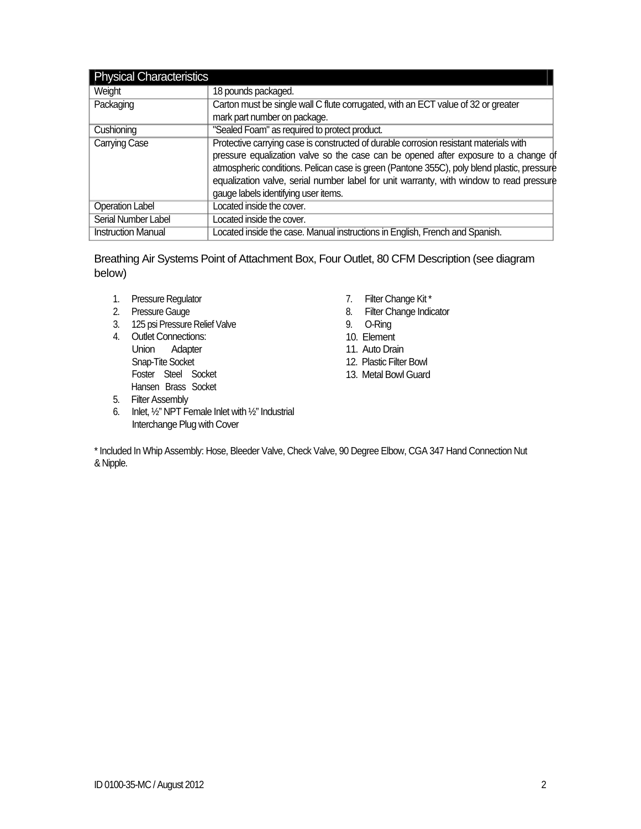| <b>Physical Characteristics</b> |                                                                                                                                                                                                                                                                                                                                                                                                               |
|---------------------------------|---------------------------------------------------------------------------------------------------------------------------------------------------------------------------------------------------------------------------------------------------------------------------------------------------------------------------------------------------------------------------------------------------------------|
| Weight                          | 18 pounds packaged.                                                                                                                                                                                                                                                                                                                                                                                           |
| Packaging                       | Carton must be single wall C flute corrugated, with an ECT value of 32 or greater                                                                                                                                                                                                                                                                                                                             |
|                                 | mark part number on package.                                                                                                                                                                                                                                                                                                                                                                                  |
| Cushioning                      | "Sealed Foam" as required to protect product.                                                                                                                                                                                                                                                                                                                                                                 |
| <b>Carrying Case</b>            | Protective carrying case is constructed of durable corrosion resistant materials with<br>pressure equalization valve so the case can be opened after exposure to a change of<br>atmospheric conditions. Pelican case is green (Pantone 355C), poly blend plastic, pressure<br>equalization valve, serial number label for unit warranty, with window to read pressure<br>gauge labels identifying user items. |
| <b>Operation Label</b>          | Located inside the cover.                                                                                                                                                                                                                                                                                                                                                                                     |
| Serial Number Label             | Located inside the cover.                                                                                                                                                                                                                                                                                                                                                                                     |
| <b>Instruction Manual</b>       | Located inside the case. Manual instructions in English, French and Spanish.                                                                                                                                                                                                                                                                                                                                  |

Breathing Air Systems Point of Attachment Box, Four Outlet, 80 CFM Description (see diagram below)

- 1. Pressure Regulator
- 2. Pressure Gauge
- 3. 125 psi Pressure Relief Valve
- 4. Outlet Connections: Union Adapter Snap-Tite Socket Foster Steel Socket Hansen Brass Socket
- 7. Filter Change Kit \*
- 8. Filter Change Indicator
- 9. O-Ring
- 10. Element
- 11. Auto Drain
- 12. Plastic Filter Bowl
- 13. Metal Bowl Guard

- 5. Filter Assembly
- 6. Inlet,  $\frac{1}{2}$ " NPT Female Inlet with  $\frac{1}{2}$ " Industrial Interchange Plug with Cover

\* Included In Whip Assembly: Hose, Bleeder Valve, Check Valve, 90 Degree Elbow, CGA 347 Hand Connection Nut & Nipple.